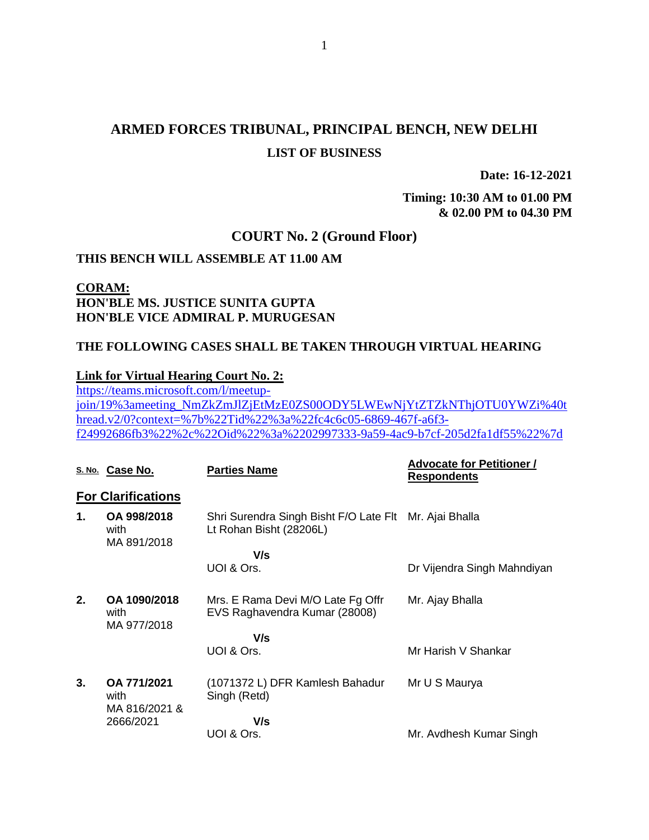# **ARMED FORCES TRIBUNAL, PRINCIPAL BENCH, NEW DELHI LIST OF BUSINESS**

**Date: 16-12-2021**

**Timing: 10:30 AM to 01.00 PM & 02.00 PM to 04.30 PM**

### **COURT No. 2 (Ground Floor)**

### **THIS BENCH WILL ASSEMBLE AT 11.00 AM**

### **CORAM: HON'BLE MS. JUSTICE SUNITA GUPTA HON'BLE VICE ADMIRAL P. MURUGESAN**

### **THE FOLLOWING CASES SHALL BE TAKEN THROUGH VIRTUAL HEARING**

#### **Link for Virtual Hearing Court No. 2:**

[https://teams.microsoft.com/l/meetup](https://teams.microsoft.com/l/meetup-join/19%3ameeting_NmZkZmJlZjEtMzE0ZS00ODY5LWEwNjYtZTZkNThjOTU0YWZi%40thread.v2/0?context=%7b%22Tid%22%3a%22fc4c6c05-6869-467f-a6f3-f24992686fb3%22%2c%22Oid%22%3a%2202997333-9a59-4ac9-b7cf-205d2fa1df55%22%7d)[join/19%3ameeting\\_NmZkZmJlZjEtMzE0ZS00ODY5LWEwNjYtZTZkNThjOTU0YWZi%40t](https://teams.microsoft.com/l/meetup-join/19%3ameeting_NmZkZmJlZjEtMzE0ZS00ODY5LWEwNjYtZTZkNThjOTU0YWZi%40thread.v2/0?context=%7b%22Tid%22%3a%22fc4c6c05-6869-467f-a6f3-f24992686fb3%22%2c%22Oid%22%3a%2202997333-9a59-4ac9-b7cf-205d2fa1df55%22%7d) [hread.v2/0?context=%7b%22Tid%22%3a%22fc4c6c05-6869-467f-a6f3](https://teams.microsoft.com/l/meetup-join/19%3ameeting_NmZkZmJlZjEtMzE0ZS00ODY5LWEwNjYtZTZkNThjOTU0YWZi%40thread.v2/0?context=%7b%22Tid%22%3a%22fc4c6c05-6869-467f-a6f3-f24992686fb3%22%2c%22Oid%22%3a%2202997333-9a59-4ac9-b7cf-205d2fa1df55%22%7d) [f24992686fb3%22%2c%22Oid%22%3a%2202997333-9a59-4ac9-b7cf-205d2fa1df55%22%7d](https://teams.microsoft.com/l/meetup-join/19%3ameeting_NmZkZmJlZjEtMzE0ZS00ODY5LWEwNjYtZTZkNThjOTU0YWZi%40thread.v2/0?context=%7b%22Tid%22%3a%22fc4c6c05-6869-467f-a6f3-f24992686fb3%22%2c%22Oid%22%3a%2202997333-9a59-4ac9-b7cf-205d2fa1df55%22%7d)

|    | S. No. Case No.                                   | <b>Parties Name</b>                                                               | <b>Advocate for Petitioner /</b><br><b>Respondents</b> |
|----|---------------------------------------------------|-----------------------------------------------------------------------------------|--------------------------------------------------------|
|    | <b>For Clarifications</b>                         |                                                                                   |                                                        |
| 1. | OA 998/2018<br>with<br>MA 891/2018                | Shri Surendra Singh Bisht F/O Late Flt Mr. Ajai Bhalla<br>Lt Rohan Bisht (28206L) |                                                        |
|    |                                                   | V/s                                                                               |                                                        |
|    |                                                   | UOI & Ors.                                                                        | Dr Vijendra Singh Mahndiyan                            |
| 2. | OA 1090/2018<br>with<br>MA 977/2018               | Mrs. E Rama Devi M/O Late Fg Offr<br>EVS Raghavendra Kumar (28008)                | Mr. Ajay Bhalla                                        |
|    |                                                   | V/s                                                                               |                                                        |
|    |                                                   | UOI & Ors.                                                                        | Mr Harish V Shankar                                    |
| 3. | OA 771/2021<br>with<br>MA 816/2021 &<br>2666/2021 | (1071372 L) DFR Kamlesh Bahadur<br>Singh (Retd)                                   | Mr U S Maurya                                          |
|    |                                                   | V/s                                                                               |                                                        |
|    |                                                   | UOI & Ors.                                                                        | Mr. Avdhesh Kumar Singh                                |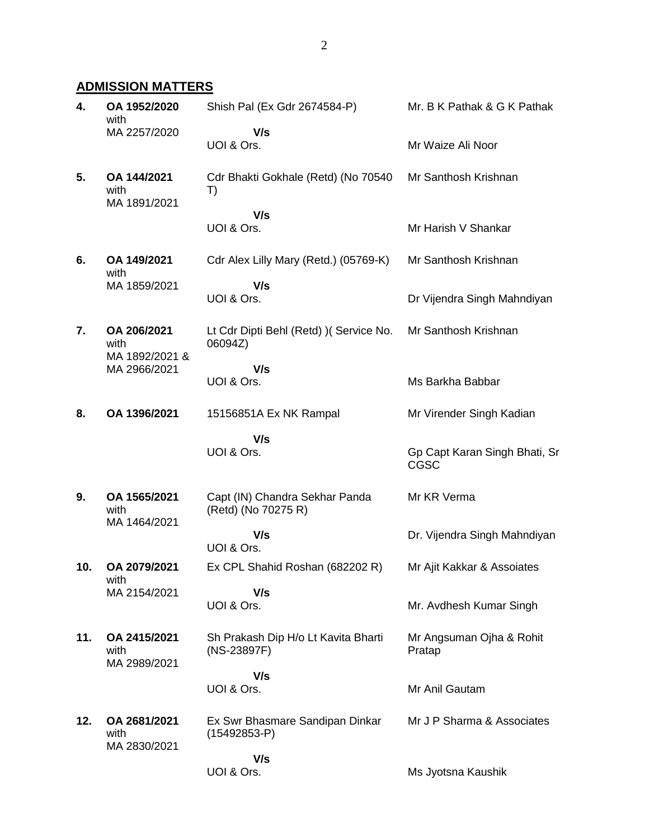## **ADMISSION MATTERS**

| 4.  | OA 1952/2020<br>with                 | Shish Pal (Ex Gdr 2674584-P)                          | Mr. B K Pathak & G K Pathak                  |
|-----|--------------------------------------|-------------------------------------------------------|----------------------------------------------|
|     | MA 2257/2020                         | V/s<br>UOI & Ors.                                     | Mr Waize Ali Noor                            |
| 5.  | OA 144/2021<br>with<br>MA 1891/2021  | Cdr Bhakti Gokhale (Retd) (No 70540<br>T)             | Mr Santhosh Krishnan                         |
|     |                                      | V/s<br>UOI & Ors.                                     | Mr Harish V Shankar                          |
| 6.  | OA 149/2021<br>with                  | Cdr Alex Lilly Mary (Retd.) (05769-K)                 | Mr Santhosh Krishnan                         |
|     | MA 1859/2021                         | V/s<br>UOI & Ors.                                     | Dr Vijendra Singh Mahndiyan                  |
| 7.  | OA 206/2021<br>with                  | Lt Cdr Dipti Behl (Retd) ) (Service No.<br>06094Z)    | Mr Santhosh Krishnan                         |
|     | MA 1892/2021 &<br>MA 2966/2021       | V/s<br>UOI & Ors.                                     | Ms Barkha Babbar                             |
| 8.  | OA 1396/2021                         | 15156851A Ex NK Rampal                                | Mr Virender Singh Kadian                     |
|     |                                      | V/s<br>UOI & Ors.                                     | Gp Capt Karan Singh Bhati, Sr<br><b>CGSC</b> |
| 9.  | OA 1565/2021<br>with<br>MA 1464/2021 | Capt (IN) Chandra Sekhar Panda<br>(Retd) (No 70275 R) | Mr KR Verma                                  |
|     |                                      | V/s<br>UOI & Ors.                                     | Dr. Vijendra Singh Mahndiyan                 |
| 10. | OA 2079/2021<br>with                 | Ex CPL Shahid Roshan (682202 R)                       | Mr Ajit Kakkar & Assoiates                   |
|     | MA 2154/2021                         | V/s<br>UOI & Ors.                                     | Mr. Avdhesh Kumar Singh                      |
| 11. | OA 2415/2021<br>with<br>MA 2989/2021 | Sh Prakash Dip H/o Lt Kavita Bharti<br>(NS-23897F)    | Mr Angsuman Ojha & Rohit<br>Pratap           |
|     |                                      | V/s<br>UOI & Ors.                                     | Mr Anil Gautam                               |
| 12. | OA 2681/2021<br>with<br>MA 2830/2021 | Ex Swr Bhasmare Sandipan Dinkar<br>$(15492853-P)$     | Mr J P Sharma & Associates                   |
|     |                                      | V/s<br>UOI & Ors.                                     | Ms Jyotsna Kaushik                           |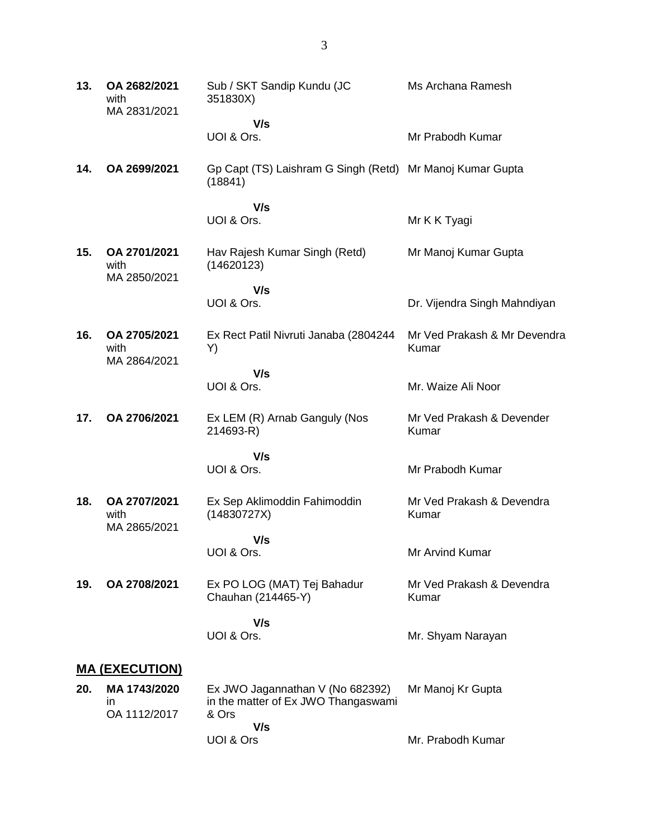| 13. | OA 2682/2021<br>with<br>MA 2831/2021 | Sub / SKT Sandip Kundu (JC<br>351830X)                                           | Ms Archana Ramesh                     |  |  |
|-----|--------------------------------------|----------------------------------------------------------------------------------|---------------------------------------|--|--|
|     |                                      | V/s<br>UOI & Ors.                                                                | Mr Prabodh Kumar                      |  |  |
| 14. | OA 2699/2021                         | Gp Capt (TS) Laishram G Singh (Retd) Mr Manoj Kumar Gupta<br>(18841)             |                                       |  |  |
|     |                                      | V/s<br>UOI & Ors.                                                                | Mr K K Tyagi                          |  |  |
| 15. | OA 2701/2021<br>with<br>MA 2850/2021 | Hav Rajesh Kumar Singh (Retd)<br>(14620123)                                      | Mr Manoj Kumar Gupta                  |  |  |
|     |                                      | V/s<br>UOI & Ors.                                                                | Dr. Vijendra Singh Mahndiyan          |  |  |
| 16. | OA 2705/2021<br>with<br>MA 2864/2021 | Ex Rect Patil Nivruti Janaba (2804244<br>Y)                                      | Mr Ved Prakash & Mr Devendra<br>Kumar |  |  |
|     |                                      | V/s<br>UOI & Ors.                                                                | Mr. Waize Ali Noor                    |  |  |
| 17. | OA 2706/2021                         | Ex LEM (R) Arnab Ganguly (Nos<br>214693-R)                                       | Mr Ved Prakash & Devender<br>Kumar    |  |  |
|     |                                      | V/s<br>UOI & Ors.                                                                | Mr Prabodh Kumar                      |  |  |
| 18. | OA 2707/2021<br>with<br>MA 2865/2021 | Ex Sep Aklimoddin Fahimoddin<br>(14830727X)                                      | Mr Ved Prakash & Devendra<br>Kumar    |  |  |
|     |                                      | V/s<br>UOI & Ors.                                                                | Mr Arvind Kumar                       |  |  |
| 19. | OA 2708/2021                         | Ex PO LOG (MAT) Tej Bahadur<br>Chauhan (214465-Y)                                | Mr Ved Prakash & Devendra<br>Kumar    |  |  |
|     |                                      | V/s<br>UOI & Ors.                                                                | Mr. Shyam Narayan                     |  |  |
|     | <b>MA (EXECUTION)</b>                |                                                                                  |                                       |  |  |
| 20. | MA 1743/2020<br>in<br>OA 1112/2017   | Ex JWO Jagannathan V (No 682392)<br>in the matter of Ex JWO Thangaswami<br>& Ors | Mr Manoj Kr Gupta                     |  |  |
|     |                                      | V/s<br>UOI & Ors                                                                 | Mr. Prabodh Kumar                     |  |  |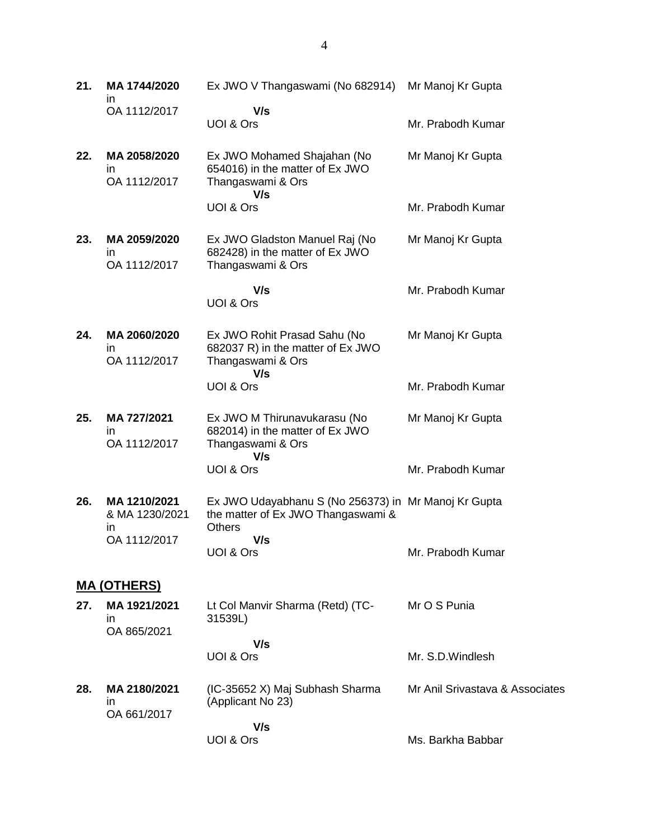| 21. | MA 1744/2020<br>ın                    | Ex JWO V Thangaswami (No 682914)                                                                            | Mr Manoj Kr Gupta               |
|-----|---------------------------------------|-------------------------------------------------------------------------------------------------------------|---------------------------------|
|     | OA 1112/2017                          | V/s<br>UOI & Ors                                                                                            | Mr. Prabodh Kumar               |
| 22. | MA 2058/2020<br>ın<br>OA 1112/2017    | Ex JWO Mohamed Shajahan (No<br>654016) in the matter of Ex JWO<br>Thangaswami & Ors<br>V/s                  | Mr Manoj Kr Gupta               |
|     |                                       | UOI & Ors                                                                                                   | Mr. Prabodh Kumar               |
| 23. | MA 2059/2020<br>ın<br>OA 1112/2017    | Ex JWO Gladston Manuel Raj (No<br>682428) in the matter of Ex JWO<br>Thangaswami & Ors                      | Mr Manoj Kr Gupta               |
|     |                                       | V/s<br>UOI & Ors                                                                                            | Mr. Prabodh Kumar               |
| 24. | MA 2060/2020<br>in<br>OA 1112/2017    | Ex JWO Rohit Prasad Sahu (No<br>682037 R) in the matter of Ex JWO<br>Thangaswami & Ors<br>V/s               | Mr Manoj Kr Gupta               |
|     |                                       | UOI & Ors                                                                                                   | Mr. Prabodh Kumar               |
| 25. | MA 727/2021<br>in.<br>OA 1112/2017    | Ex JWO M Thirunavukarasu (No<br>682014) in the matter of Ex JWO<br>Thangaswami & Ors<br>V/s                 | Mr Manoj Kr Gupta               |
|     |                                       | UOI & Ors                                                                                                   | Mr. Prabodh Kumar               |
| 26. | MA 1210/2021<br>& MA 1230/2021<br>in. | Ex JWO Udayabhanu S (No 256373) in Mr Manoj Kr Gupta<br>the matter of Ex JWO Thangaswami &<br><b>Others</b> |                                 |
|     | OA 1112/2017                          | V/s<br>UOI & Ors                                                                                            | Mr. Prabodh Kumar               |
|     | <b>MA (OTHERS)</b>                    |                                                                                                             |                                 |
| 27. | MA 1921/2021<br>in.<br>OA 865/2021    | Lt Col Manvir Sharma (Retd) (TC-<br>31539L)                                                                 | Mr O S Punia                    |
|     |                                       | V/s<br>UOI & Ors                                                                                            | Mr. S.D. Windlesh               |
| 28. | MA 2180/2021<br>in.<br>OA 661/2017    | (IC-35652 X) Maj Subhash Sharma<br>(Applicant No 23)                                                        | Mr Anil Srivastava & Associates |
|     |                                       | V/s<br>UOI & Ors                                                                                            | Ms. Barkha Babbar               |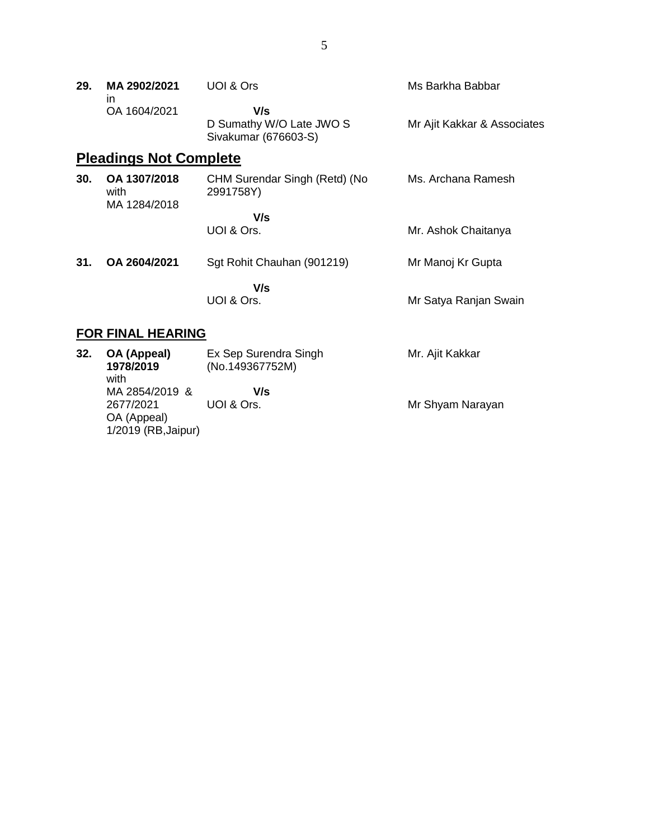| 29. | MA 2902/2021 | UOI & Ors                | Ms Barkha Babbar            |
|-----|--------------|--------------------------|-----------------------------|
|     | ın           |                          |                             |
|     | OA 1604/2021 | V/s                      |                             |
|     |              | D Sumathy W/O Late JWO S | Mr Ajit Kakkar & Associates |
|     |              | Sivakumar (676603-S)     |                             |

# **Pleadings Not Complete**

| 30. | OA 1307/2018<br>with<br>MA 1284/2018 | CHM Surendar Singh (Retd) (No<br>2991758Y) | Ms. Archana Ramesh  |
|-----|--------------------------------------|--------------------------------------------|---------------------|
|     |                                      | V/s<br>UOI & Ors.                          | Mr. Ashok Chaitanya |
| 31. | OA 2604/2021                         | Sgt Rohit Chauhan (901219)                 | Mr Manoj Kr Gupta   |

 **V/s** UOI & Ors.

# Mr Satya Ranjan Swain

### **FOR FINAL HEARING**

| 32. | OA (Appeal)<br>1978/2019<br>with                                  | Ex Sep Surendra Singh<br>(No.149367752M) | Mr. Ajit Kakkar  |
|-----|-------------------------------------------------------------------|------------------------------------------|------------------|
|     | MA 2854/2019 &<br>2677/2021<br>OA (Appeal)<br>1/2019 (RB, Jaipur) | V/s<br>UOI & Ors.                        | Mr Shyam Narayan |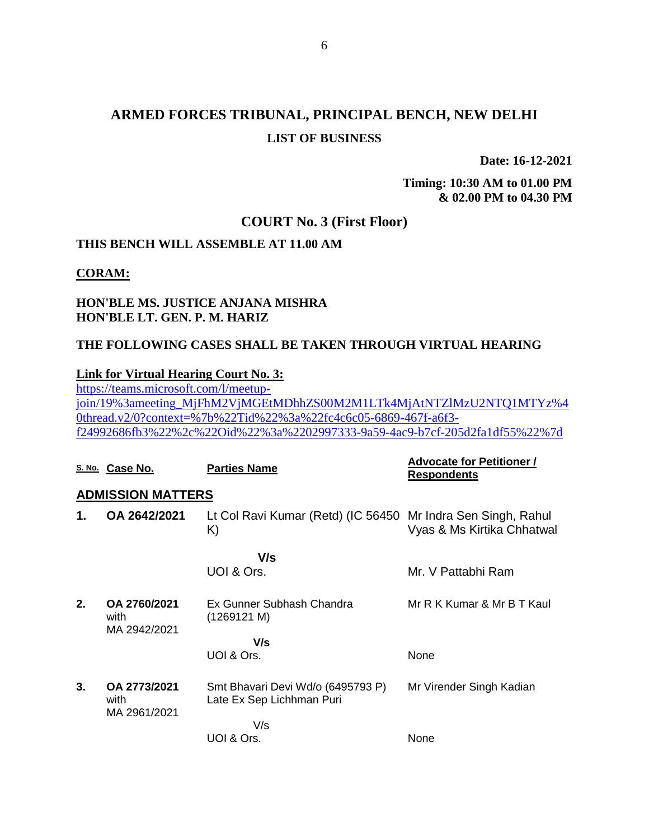# **ARMED FORCES TRIBUNAL, PRINCIPAL BENCH, NEW DELHI LIST OF BUSINESS**

**Date: 16-12-2021**

**Timing: 10:30 AM to 01.00 PM & 02.00 PM to 04.30 PM**

#### **COURT No. 3 (First Floor)**

### **THIS BENCH WILL ASSEMBLE AT 11.00 AM**

#### **CORAM:**

### **HON'BLE MS. JUSTICE ANJANA MISHRA HON'BLE LT. GEN. P. M. HARIZ**

### **THE FOLLOWING CASES SHALL BE TAKEN THROUGH VIRTUAL HEARING**

#### **Link for Virtual Hearing Court No. 3:**

[https://teams.microsoft.com/l/meetup](https://teams.microsoft.com/l/meetup-join/19%3ameeting_MjFhM2VjMGEtMDhhZS00M2M1LTk4MjAtNTZlMzU2NTQ1MTYz%40thread.v2/0?context=%7b%22Tid%22%3a%22fc4c6c05-6869-467f-a6f3-f24992686fb3%22%2c%22Oid%22%3a%2202997333-9a59-4ac9-b7cf-205d2fa1df55%22%7d)[join/19%3ameeting\\_MjFhM2VjMGEtMDhhZS00M2M1LTk4MjAtNTZlMzU2NTQ1MTYz%4](https://teams.microsoft.com/l/meetup-join/19%3ameeting_MjFhM2VjMGEtMDhhZS00M2M1LTk4MjAtNTZlMzU2NTQ1MTYz%40thread.v2/0?context=%7b%22Tid%22%3a%22fc4c6c05-6869-467f-a6f3-f24992686fb3%22%2c%22Oid%22%3a%2202997333-9a59-4ac9-b7cf-205d2fa1df55%22%7d) [0thread.v2/0?context=%7b%22Tid%22%3a%22fc4c6c05-6869-467f-a6f3](https://teams.microsoft.com/l/meetup-join/19%3ameeting_MjFhM2VjMGEtMDhhZS00M2M1LTk4MjAtNTZlMzU2NTQ1MTYz%40thread.v2/0?context=%7b%22Tid%22%3a%22fc4c6c05-6869-467f-a6f3-f24992686fb3%22%2c%22Oid%22%3a%2202997333-9a59-4ac9-b7cf-205d2fa1df55%22%7d) [f24992686fb3%22%2c%22Oid%22%3a%2202997333-9a59-4ac9-b7cf-205d2fa1df55%22%7d](https://teams.microsoft.com/l/meetup-join/19%3ameeting_MjFhM2VjMGEtMDhhZS00M2M1LTk4MjAtNTZlMzU2NTQ1MTYz%40thread.v2/0?context=%7b%22Tid%22%3a%22fc4c6c05-6869-467f-a6f3-f24992686fb3%22%2c%22Oid%22%3a%2202997333-9a59-4ac9-b7cf-205d2fa1df55%22%7d)

|    | S. No. Case No.                      | <b>Parties Name</b>                                                | <b>Advocate for Petitioner /</b><br><b>Respondents</b> |
|----|--------------------------------------|--------------------------------------------------------------------|--------------------------------------------------------|
|    | <b>ADMISSION MATTERS</b>             |                                                                    |                                                        |
| 1. | OA 2642/2021                         | Lt Col Ravi Kumar (Retd) (IC 56450 Mr Indra Sen Singh, Rahul<br>K) | Vyas & Ms Kirtika Chhatwal                             |
|    |                                      | V/s                                                                |                                                        |
|    |                                      | UOI & Ors.                                                         | Mr. V Pattabhi Ram                                     |
| 2. | OA 2760/2021<br>with<br>MA 2942/2021 | Ex Gunner Subhash Chandra<br>(1269121 M)                           | Mr R K Kumar & Mr B T Kaul                             |
|    |                                      | V/s                                                                |                                                        |
|    |                                      | UOI & Ors.                                                         | None                                                   |
| 3. | OA 2773/2021<br>with<br>MA 2961/2021 | Smt Bhavari Devi Wd/o (6495793 P)<br>Late Ex Sep Lichhman Puri     | Mr Virender Singh Kadian                               |
|    |                                      | V/s                                                                |                                                        |
|    |                                      | UOI & Ors.                                                         | None                                                   |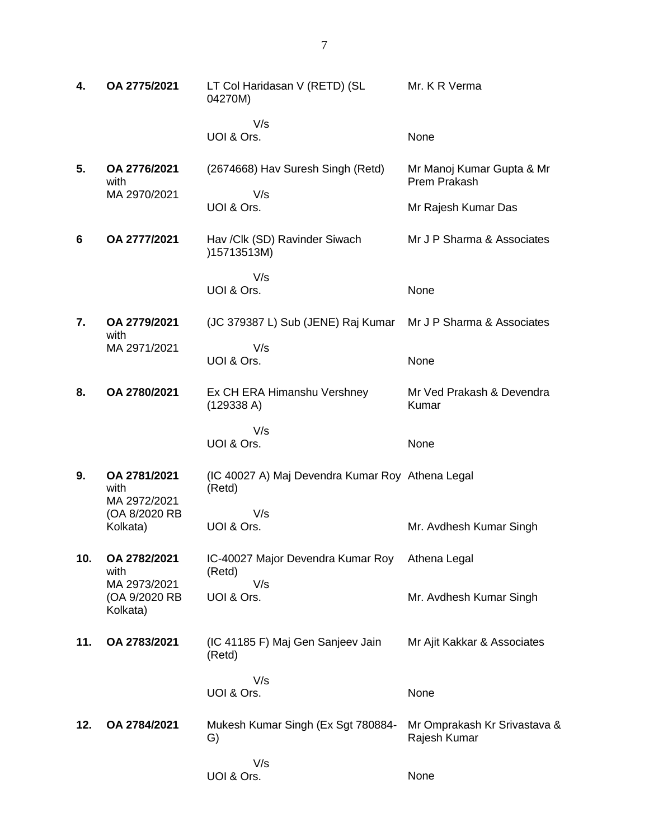| 4.  | OA 2775/2021                              | LT Col Haridasan V (RETD) (SL<br>04270M)                   | Mr. K R Verma                                |
|-----|-------------------------------------------|------------------------------------------------------------|----------------------------------------------|
|     |                                           | V/s<br>UOI & Ors.                                          | None                                         |
| 5.  | OA 2776/2021<br>with                      | (2674668) Hav Suresh Singh (Retd)                          | Mr Manoj Kumar Gupta & Mr<br>Prem Prakash    |
|     | MA 2970/2021                              | V/s<br>UOI & Ors.                                          | Mr Rajesh Kumar Das                          |
| 6   | OA 2777/2021                              | Hav / Clk (SD) Ravinder Siwach<br>)15713513M)              | Mr J P Sharma & Associates                   |
|     |                                           | V/s<br>UOI & Ors.                                          | None                                         |
| 7.  | OA 2779/2021<br>with                      | (JC 379387 L) Sub (JENE) Raj Kumar                         | Mr J P Sharma & Associates                   |
|     | MA 2971/2021                              | V/s<br>UOI & Ors.                                          | None                                         |
| 8.  | OA 2780/2021                              | Ex CH ERA Himanshu Vershney<br>(129338 A)                  | Mr Ved Prakash & Devendra<br>Kumar           |
|     |                                           | V/s<br>UOI & Ors.                                          | None                                         |
| 9.  | OA 2781/2021<br>with<br>MA 2972/2021      | (IC 40027 A) Maj Devendra Kumar Roy Athena Legal<br>(Retd) |                                              |
|     | (OA 8/2020 RB<br>Kolkata)                 | V/s<br>UOI & Ors.                                          | Mr. Avdhesh Kumar Singh                      |
| 10. | OA 2782/2021<br>with                      | IC-40027 Major Devendra Kumar Roy<br>(Retd)                | Athena Legal                                 |
|     | MA 2973/2021<br>(OA 9/2020 RB<br>Kolkata) | V/s<br>UOI & Ors.                                          | Mr. Avdhesh Kumar Singh                      |
| 11. | OA 2783/2021                              | (IC 41185 F) Maj Gen Sanjeev Jain<br>(Retd)                | Mr Ajit Kakkar & Associates                  |
|     |                                           | V/s<br>UOI & Ors.                                          | None                                         |
| 12. | OA 2784/2021                              | Mukesh Kumar Singh (Ex Sgt 780884-<br>G)                   | Mr Omprakash Kr Srivastava &<br>Rajesh Kumar |
|     |                                           | V/s<br>UOI & Ors.                                          | None                                         |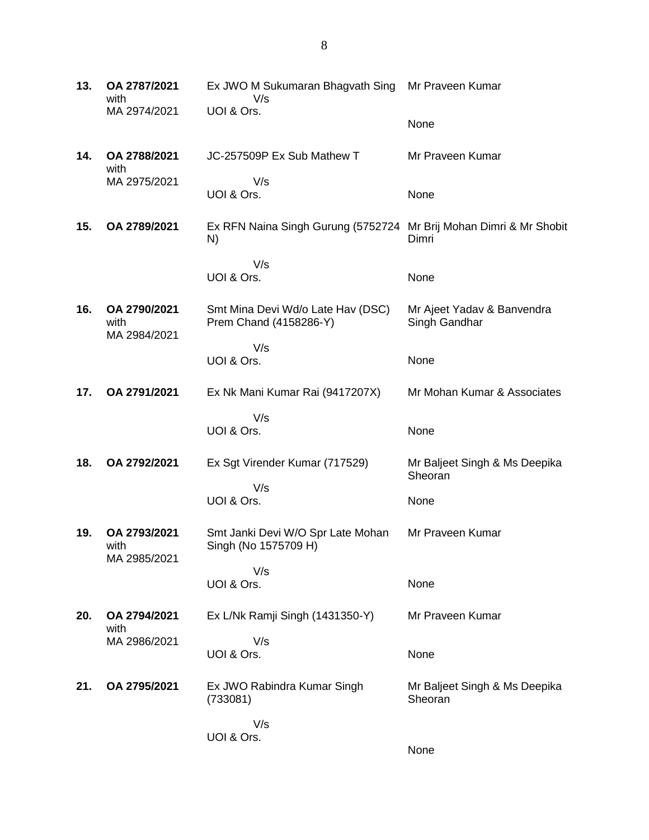**13. OA 2787/2021** with MA 2974/2021 Ex JWO M Sukumaran Bhagvath Sing Mr Praveen Kumar V/s UOI & Ors. None **14. OA 2788/2021** with MA 2975/2021 JC-257509P Ex Sub Mathew T V/s UOI & Ors. Mr Praveen Kumar None **15. OA 2789/2021** Ex RFN Naina Singh Gurung (5752724 Mr Brij Mohan Dimri & Mr Shobit N) V/s UOI & Ors. Dimri None **16. OA 2790/2021** with MA 2984/2021 Smt Mina Devi Wd/o Late Hav (DSC) Prem Chand (4158286-Y) V/s UOI & Ors. Mr Ajeet Yadav & Banvendra Singh Gandhar None **17. OA 2791/2021** Ex Nk Mani Kumar Rai (9417207X) V/s UOI & Ors. Mr Mohan Kumar & Associates None **18. OA 2792/2021** Ex Sgt Virender Kumar (717529) V/s UOI & Ors. Mr Baljeet Singh & Ms Deepika Sheoran None **19. OA 2793/2021** with MA 2985/2021 Smt Janki Devi W/O Spr Late Mohan Singh (No 1575709 H) V/s UOI & Ors. Mr Praveen Kumar None **20. OA 2794/2021** with MA 2986/2021 Ex L/Nk Ramji Singh (1431350-Y) V/s UOI & Ors. Mr Praveen Kumar None **21. OA 2795/2021** Ex JWO Rabindra Kumar Singh (733081) V/s UOI & Ors. Mr Baljeet Singh & Ms Deepika Sheoran None